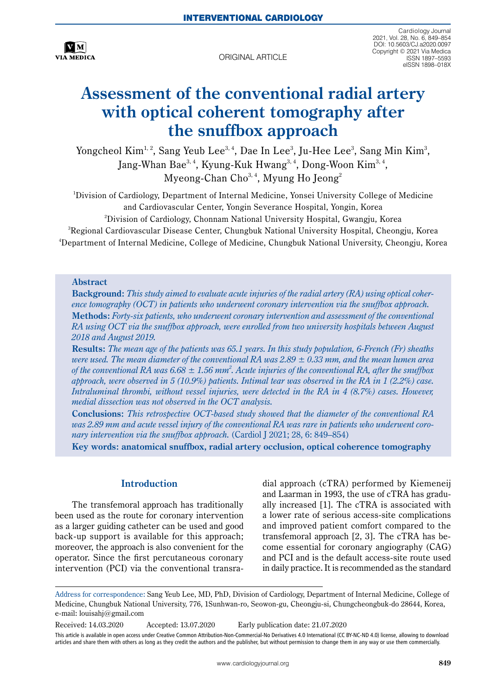

original article

Cardiology Journal 2021, Vol. 28, No. 6, 849–854 DOI: 10.5603/CJ.a2020.0097 Copyright © 2021 Via Medica ISSN 1897–5593 eISSN 1898–018X

# **Assessment of the conventional radial artery with optical coherent tomography after the snuffbox approach**

Yongcheol  $Kim<sup>1,2</sup>$ , Sang Yeub Lee<sup>3, 4</sup>, Dae In Lee<sup>3</sup>, Ju-Hee Lee<sup>3</sup>, Sang Min Kim<sup>3</sup>, Jang-Whan Bae<sup>3, 4</sup>, Kyung-Kuk Hwang<sup>3, 4</sup>, Dong-Woon Kim<sup>3, 4</sup>, Myeong-Chan Cho<sup>3, 4</sup>, Myung Ho Jeong<sup>2</sup>

1 Division of Cardiology, Department of Internal Medicine, Yonsei University College of Medicine and Cardiovascular Center, Yongin Severance Hospital, Yongin, Korea

 $^{\rm 2}$ Division of Cardiology, Chonnam National University Hospital, Gwangju, Korea

 $^3$ Regional Cardiovascular Disease Center, Chungbuk National University Hospital, Cheongju, Korea 4 Department of Internal Medicine, College of Medicine, Chungbuk National University, Cheongju, Korea

#### **Abstract**

**Background:** *This study aimed to evaluate acute injuries of the radial artery (RA) using optical coherence tomography (OCT) in patients who underwent coronary intervention via the snuffbox approach.* **Methods:** *Forty-six patients, who underwent coronary intervention and assessment of the conventional RA using OCT via the snuffbox approach, were enrolled from two university hospitals between August 2018 and August 2019.* 

**Results:** *The mean age of the patients was 65.1 years. In this study population, 6-French (Fr) sheaths were used. The mean diameter of the conventional RA was 2.89 ± 0.33 mm, and the mean lumen area*  of the conventional RA was  $6.68 \pm 1.56$  mm<sup>2</sup>. Acute injuries of the conventional RA, after the snuffbox *approach, were observed in 5 (10.9%) patients. Intimal tear was observed in the RA in 1 (2.2%) case. Intraluminal thrombi, without vessel injuries, were detected in the RA in 4 (8.7%) cases. However, medial dissection was not observed in the OCT analysis.*

**Conclusions:** *This retrospective OCT-based study showed that the diameter of the conventional RA was 2.89 mm and acute vessel injury of the conventional RA was rare in patients who underwent coronary intervention via the snuffbox approach.* (Cardiol J 2021; 28, 6: 849–854)

**Key words: anatomical snuffbox, radial artery occlusion, optical coherence tomography**

# **Introduction**

The transfemoral approach has traditionally been used as the route for coronary intervention as a larger guiding catheter can be used and good back-up support is available for this approach; moreover, the approach is also convenient for the operator. Since the first percutaneous coronary intervention (PCI) via the conventional transradial approach (cTRA) performed by Kiemeneij and Laarman in 1993, the use of cTRA has gradually increased [1]. The cTRA is associated with a lower rate of serious access-site complications and improved patient comfort compared to the transfemoral approach [2, 3]. The cTRA has become essential for coronary angiography (CAG) and PCI and is the default access-site route used in daily practice. It is recommended as the standard

Received: 14.03.2020 Accepted: 13.07.2020 Early publication date: 21.07.2020 This article is available in open access under Creative Common Attribution-Non-Commercial-No Derivatives 4.0 International (CC BY-NC-ND 4.0) license, allowing to download articles and share them with others as long as they credit the authors and the publisher, but without permission to change them in any way or use them commercially.

Address for correspondence: Sang Yeub Lee, MD, PhD, Division of Cardiology, Department of Internal Medicine, College of Medicine, Chungbuk National University, 776, 1Sunhwan-ro, Seowon-gu, Cheongju-si, Chungcheongbuk-do 28644, Korea, e-mail: [louisahj@gmail.com](mailto:louisahj@gmail.com)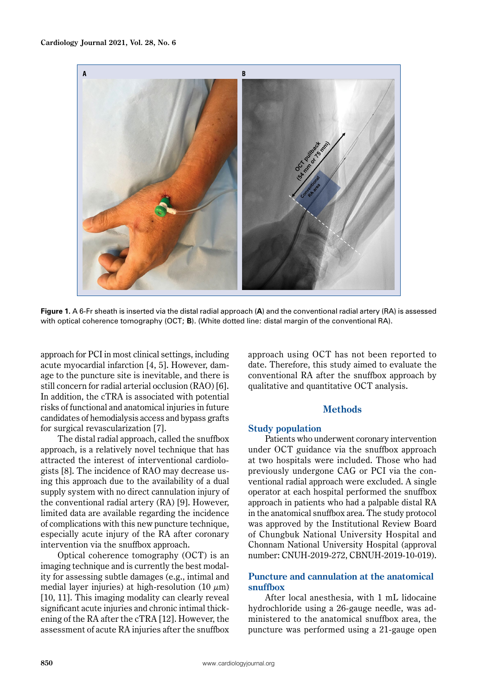

**Figure 1.** A 6-Fr sheath is inserted via the distal radial approach (**A**) and the conventional radial artery (RA) is assessed with optical coherence tomography (OCT; **B**). (White dotted line: distal margin of the conventional RA).

approach for PCI in most clinical settings, including acute myocardial infarction [4, 5]. However, damage to the puncture site is inevitable, and there is still concern for radial arterial occlusion (RAO) [6]. In addition, the cTRA is associated with potential risks of functional and anatomical injuries in future candidates of hemodialysis access and bypass grafts for surgical revascularization [7].

The distal radial approach, called the snuffbox approach, is a relatively novel technique that has attracted the interest of interventional cardiologists [8]. The incidence of RAO may decrease using this approach due to the availability of a dual supply system with no direct cannulation injury of the conventional radial artery (RA) [9]. However, limited data are available regarding the incidence of complications with this new puncture technique, especially acute injury of the RA after coronary intervention via the snuffbox approach.

Optical coherence tomography (OCT) is an imaging technique and is currently the best modality for assessing subtle damages (e.g., intimal and medial layer injuries) at high-resolution (10  $\mu$ m) [10, 11]. This imaging modality can clearly reveal significant acute injuries and chronic intimal thickening of the RA after the cTRA [12]. However, the assessment of acute RA injuries after the snuffbox approach using OCT has not been reported to date. Therefore, this study aimed to evaluate the conventional RA after the snuffbox approach by qualitative and quantitative OCT analysis.

# **Methods**

#### **Study population**

Patients who underwent coronary intervention under OCT guidance via the snuffbox approach at two hospitals were included. Those who had previously undergone CAG or PCI via the conventional radial approach were excluded. A single operator at each hospital performed the snuffbox approach in patients who had a palpable distal RA in the anatomical snuffbox area. The study protocol was approved by the Institutional Review Board of Chungbuk National University Hospital and Chonnam National University Hospital (approval number: CNUH-2019-272, CBNUH-2019-10-019).

### **Puncture and cannulation at the anatomical snuffbox**

After local anesthesia, with 1 mL lidocaine hydrochloride using a 26-gauge needle, was administered to the anatomical snuffbox area, the puncture was performed using a 21-gauge open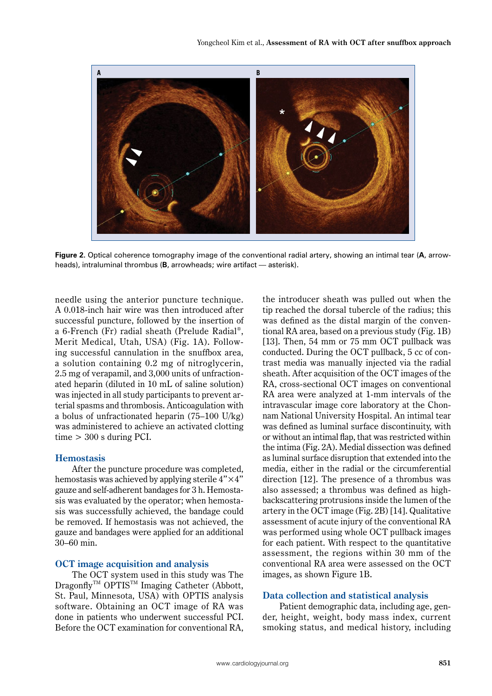

**Figure 2.** Optical coherence tomography image of the conventional radial artery, showing an intimal tear (**A**, arrowheads), intraluminal thrombus (**B**, arrowheads; wire artifact — asterisk).

needle using the anterior puncture technique. A 0.018-inch hair wire was then introduced after successful puncture, followed by the insertion of a 6-French (Fr) radial sheath (Prelude Radial®, Merit Medical, Utah, USA) (Fig. 1A). Following successful cannulation in the snuffbox area, a solution containing 0.2 mg of nitroglycerin, 2.5 mg of verapamil, and 3,000 units of unfractionated heparin (diluted in 10 mL of saline solution) was injected in all study participants to prevent arterial spasms and thrombosis. Anticoagulation with a bolus of unfractionated heparin (75–100 U/kg) was administered to achieve an activated clotting  $time > 300$  s during PCI.

# **Hemostasis**

After the puncture procedure was completed, hemostasis was achieved by applying sterile  $4" \times 4"$ gauze and self-adherent bandages for 3 h. Hemostasis was evaluated by the operator; when hemostasis was successfully achieved, the bandage could be removed. If hemostasis was not achieved, the gauze and bandages were applied for an additional 30–60 min.

# **OCT image acquisition and analysis**

The OCT system used in this study was The Dragonfly™ OPTIS™ Imaging Catheter (Abbott, St. Paul, Minnesota, USA) with OPTIS analysis software. Obtaining an OCT image of RA was done in patients who underwent successful PCI. Before the OCT examination for conventional RA,

the introducer sheath was pulled out when the tip reached the dorsal tubercle of the radius; this was defined as the distal margin of the conventional RA area, based on a previous study (Fig. 1B) [13]. Then, 54 mm or 75 mm OCT pullback was conducted. During the OCT pullback, 5 cc of contrast media was manually injected via the radial sheath. After acquisition of the OCT images of the RA, cross-sectional OCT images on conventional RA area were analyzed at 1-mm intervals of the intravascular image core laboratory at the Chonnam National University Hospital. An intimal tear was defined as luminal surface discontinuity, with or without an intimal flap, that was restricted within the intima (Fig. 2A). Medial dissection was defined as luminal surface disruption that extended into the media, either in the radial or the circumferential direction [12]. The presence of a thrombus was also assessed; a thrombus was defined as highbackscattering protrusions inside the lumen of the artery in the OCT image (Fig. 2B) [14]. Qualitative assessment of acute injury of the conventional RA was performed using whole OCT pullback images for each patient. With respect to the quantitative assessment, the regions within 30 mm of the conventional RA area were assessed on the OCT images, as shown Figure 1B.

# **Data collection and statistical analysis**

Patient demographic data, including age, gender, height, weight, body mass index, current smoking status, and medical history, including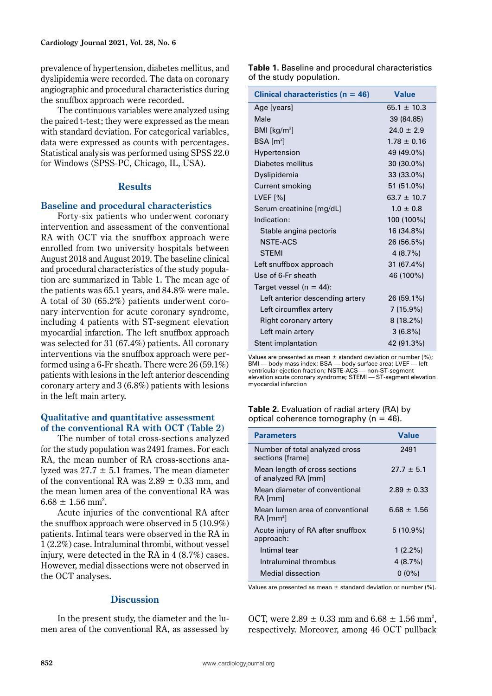prevalence of hypertension, diabetes mellitus, and dyslipidemia were recorded. The data on coronary angiographic and procedural characteristics during the snuffbox approach were recorded.

The continuous variables were analyzed using the paired t-test; they were expressed as the mean with standard deviation. For categorical variables, data were expressed as counts with percentages. Statistical analysis was performed using SPSS 22.0 for Windows (SPSS-PC, Chicago, IL, USA).

## **Results**

### **Baseline and procedural characteristics**

Forty-six patients who underwent coronary intervention and assessment of the conventional RA with OCT via the snuffbox approach were enrolled from two university hospitals between August 2018 and August 2019. The baseline clinical and procedural characteristics of the study population are summarized in Table 1. The mean age of the patients was 65.1 years, and 84.8% were male. A total of 30 (65.2%) patients underwent coronary intervention for acute coronary syndrome, including 4 patients with ST-segment elevation myocardial infarction. The left snuffbox approach was selected for 31 (67.4%) patients. All coronary interventions via the snuffbox approach were performed using a 6-Fr sheath. There were 26 (59.1%) patients with lesions in the left anterior descending coronary artery and 3 (6.8%) patients with lesions in the left main artery.

### **Qualitative and quantitative assessment of the conventional RA with OCT (Table 2)**

The number of total cross-sections analyzed for the study population was 2491 frames. For each RA, the mean number of RA cross-sections analyzed was  $27.7 \pm 5.1$  frames. The mean diameter of the conventional RA was  $2.89 \pm 0.33$  mm, and the mean lumen area of the conventional RA was  $6.68 \pm 1.56$  mm<sup>2</sup>.

Acute injuries of the conventional RA after the snuffbox approach were observed in 5 (10.9%) patients. Intimal tears were observed in the RA in 1 (2.2%) case. Intraluminal thrombi, without vessel injury, were detected in the RA in 4 (8.7%) cases. However, medial dissections were not observed in the OCT analyses.

# **Discussion**

In the present study, the diameter and the lumen area of the conventional RA, as assessed by

| Table 1. Baseline and procedural characteristics |  |
|--------------------------------------------------|--|
| of the study population.                         |  |

| Clinical characteristics ( $n = 46$ ) | <b>Value</b>    |
|---------------------------------------|-----------------|
| Age [years]                           | $65.1 + 10.3$   |
| Male                                  | 39 (84.85)      |
| BMI $\lceil \text{kg/m}^2 \rceil$     | $24.0 \pm 2.9$  |
| $BSA$ [m <sup>2</sup> ]               | $1.78 \pm 0.16$ |
| Hypertension                          | 49 (49.0%)      |
| Diabetes mellitus                     | 30 (30.0%)      |
| Dyslipidemia                          | 33 (33.0%)      |
| Current smoking                       | 51 (51.0%)      |
| LVEF [%]                              | $63.7 \pm 10.7$ |
| Serum creatinine [mg/dL]              | $1.0 \pm 0.8$   |
| Indication:                           | 100 (100%)      |
| Stable angina pectoris                | 16 (34.8%)      |
| <b>NSTE-ACS</b>                       | 26 (56.5%)      |
| <b>STEMI</b>                          | 4(8.7%)         |
| Left snuffbox approach                | 31 (67.4%)      |
| Use of 6-Fr sheath                    | 46 (100%)       |
| Target vessel ( $n = 44$ ):           |                 |
| Left anterior descending artery       | 26 (59.1%)      |
| Left circumflex artery                | $7(15.9\%)$     |
| Right coronary artery                 | $8(18.2\%)$     |
| Left main artery                      | $3(6.8\%)$      |
| Stent implantation                    | 42 (91.3%)      |

Values are presented as mean  $\pm$  standard deviation or number (%); BMI — body mass index; BSA — body surface area; LVEF — left ventricular ejection fraction; NSTE-ACS — non-ST-segment elevation acute coronary syndrome; STEMI — ST-segment elevation myocardial infarction

**Table 2.** Evaluation of radial artery (RA) by optical coherence tomography ( $n = 46$ ).

| <b>Parameters</b>                                          | Value           |
|------------------------------------------------------------|-----------------|
| Number of total analyzed cross<br>sections [frame]         | 2491            |
| Mean length of cross sections<br>of analyzed RA [mm]       | $27.7 \pm 5.1$  |
| Mean diameter of conventional<br>RA [mm]                   | $2.89 \pm 0.33$ |
| Mean lumen area of conventional<br>$RA$ [mm <sup>2</sup> ] | $6.68 \pm 1.56$ |
| Acute injury of RA after snuffbox<br>approach:             | $5(10.9\%)$     |
| Intimal tear                                               | $1(2.2\%)$      |
| Intraluminal thrombus                                      | 4(8.7%)         |
| Medial dissection                                          | $0(0\%)$        |

Values are presented as mean  $\pm$  standard deviation or number (%).

OCT, were  $2.89 \pm 0.33$  mm and  $6.68 \pm 1.56$  mm<sup>2</sup>, respectively. Moreover, among 46 OCT pullback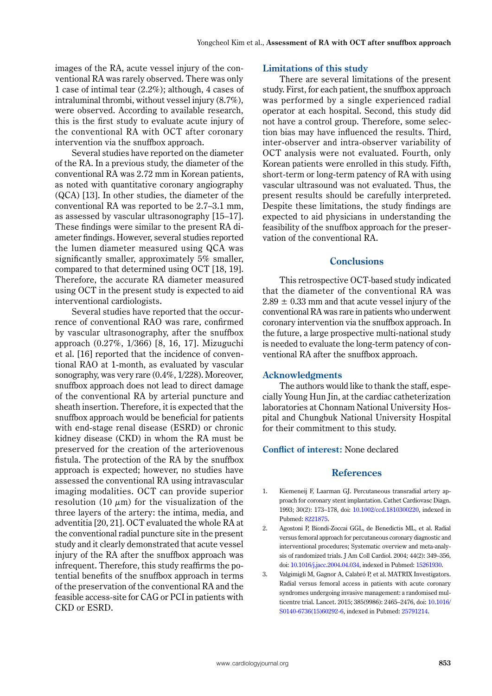images of the RA, acute vessel injury of the conventional RA was rarely observed. There was only 1 case of intimal tear (2.2%); although, 4 cases of intraluminal thrombi, without vessel injury (8.7%), were observed. According to available research, this is the first study to evaluate acute injury of the conventional RA with OCT after coronary intervention via the snuffbox approach.

Several studies have reported on the diameter of the RA. In a previous study, the diameter of the conventional RA was 2.72 mm in Korean patients, as noted with quantitative coronary angiography (QCA) [13]. In other studies, the diameter of the conventional RA was reported to be 2.7–3.1 mm, as assessed by vascular ultrasonography [15–17]. These findings were similar to the present RA diameter findings. However, several studies reported the lumen diameter measured using QCA was significantly smaller, approximately 5% smaller, compared to that determined using OCT [18, 19]. Therefore, the accurate RA diameter measured using OCT in the present study is expected to aid interventional cardiologists.

Several studies have reported that the occurrence of conventional RAO was rare, confirmed by vascular ultrasonography, after the snuffbox approach (0.27%, 1/366) [8, 16, 17]. Mizuguchi et al. [16] reported that the incidence of conventional RAO at 1-month, as evaluated by vascular sonography, was very rare (0.4%, 1/228). Moreover, snuffbox approach does not lead to direct damage of the conventional RA by arterial puncture and sheath insertion. Therefore, it is expected that the snuffbox approach would be beneficial for patients with end-stage renal disease (ESRD) or chronic kidney disease (CKD) in whom the RA must be preserved for the creation of the arteriovenous fistula. The protection of the RA by the snuffbox approach is expected; however, no studies have assessed the conventional RA using intravascular imaging modalities. OCT can provide superior resolution (10  $\mu$ m) for the visualization of the three layers of the artery: the intima, media, and adventitia [20, 21]. OCT evaluated the whole RA at the conventional radial puncture site in the present study and it clearly demonstrated that acute vessel injury of the RA after the snuffbox approach was infrequent. Therefore, this study reaffirms the potential benefits of the snuffbox approach in terms of the preservation of the conventional RA and the feasible access-site for CAG or PCI in patients with CKD or ESRD.

#### **Limitations of this study**

There are several limitations of the present study. First, for each patient, the snuffbox approach was performed by a single experienced radial operator at each hospital. Second, this study did not have a control group. Therefore, some selection bias may have influenced the results. Third, inter-observer and intra-observer variability of OCT analysis were not evaluated. Fourth, only Korean patients were enrolled in this study. Fifth, short-term or long-term patency of RA with using vascular ultrasound was not evaluated. Thus, the present results should be carefully interpreted. Despite these limitations, the study findings are expected to aid physicians in understanding the feasibility of the snuffbox approach for the preservation of the conventional RA.

# **Conclusions**

This retrospective OCT-based study indicated that the diameter of the conventional RA was  $2.89 \pm 0.33$  mm and that acute vessel injury of the conventional RA was rare in patients who underwent coronary intervention via the snuffbox approach. In the future, a large prospective multi-national study is needed to evaluate the long-term patency of conventional RA after the snuffbox approach.

#### **Acknowledgments**

The authors would like to thank the staff, especially Young Hun Jin, at the cardiac catheterization laboratories at Chonnam National University Hospital and Chungbuk National University Hospital for their commitment to this study.

#### **Conflict of interest:** None declared

#### **References**

- 1. Kiemeneij F, Laarman GJ. Percutaneous transradial artery approach for coronary stent implantation. Cathet Cardiovasc Diagn. 1993; 30(2): 173–178, doi: [10.1002/ccd.1810300220,](http://dx.doi.org/10.1002/ccd.1810300220) indexed in Pubmed: [8221875](https://www.ncbi.nlm.nih.gov/pubmed/8221875).
- 2. Agostoni P, Biondi-Zoccai GGL, de Benedictis ML, et al. Radial versus femoral approach for percutaneous coronary diagnostic and interventional procedures; Systematic overview and meta-analysis of randomized trials. J Am Coll Cardiol. 2004; 44(2): 349–356, doi: [10.1016/j.jacc.2004.04.034,](http://dx.doi.org/10.1016/j.jacc.2004.04.034) indexed in Pubmed: [15261930.](https://www.ncbi.nlm.nih.gov/pubmed/15261930)
- 3. Valgimigli M, Gagnor A, Calabró P, et al. MATRIX Investigators. Radial versus femoral access in patients with acute coronary syndromes undergoing invasive management: a randomised multicentre trial. Lancet. 2015; 385(9986): 2465–2476, doi: [10.1016/](http://dx.doi.org/10.1016/S0140-6736(15)60292-6) [S0140-6736\(15\)60292-6](http://dx.doi.org/10.1016/S0140-6736(15)60292-6), indexed in Pubmed: [25791214.](https://www.ncbi.nlm.nih.gov/pubmed/25791214)